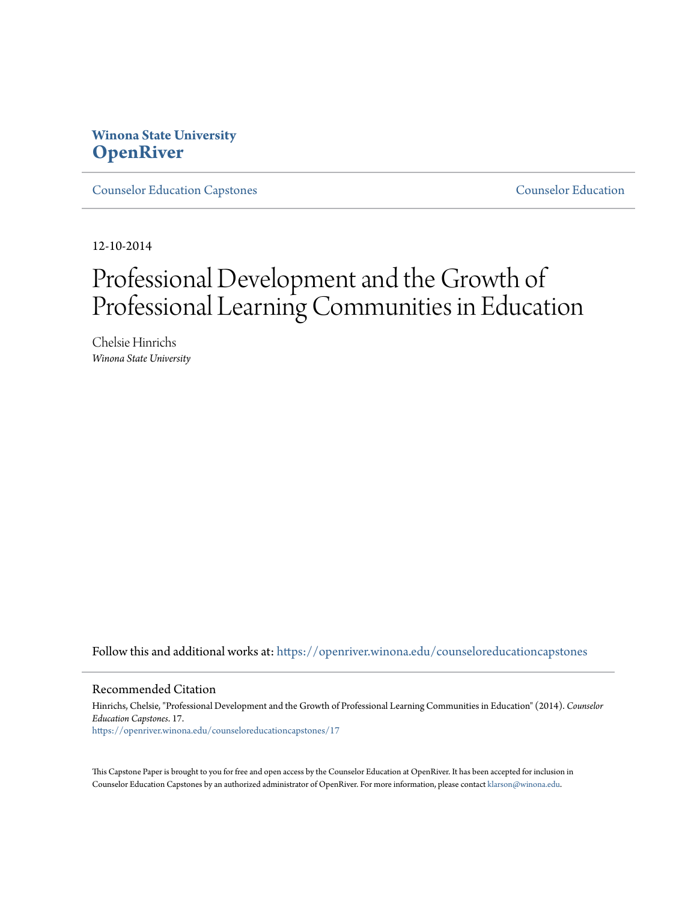## **Winona State University [OpenRiver](https://openriver.winona.edu?utm_source=openriver.winona.edu%2Fcounseloreducationcapstones%2F17&utm_medium=PDF&utm_campaign=PDFCoverPages)**

[Counselor Education Capstones](https://openriver.winona.edu/counseloreducationcapstones?utm_source=openriver.winona.edu%2Fcounseloreducationcapstones%2F17&utm_medium=PDF&utm_campaign=PDFCoverPages) [Counselor Education](https://openriver.winona.edu/counseloreducation?utm_source=openriver.winona.edu%2Fcounseloreducationcapstones%2F17&utm_medium=PDF&utm_campaign=PDFCoverPages)

12-10-2014

# Professional Development and the Growth of Professional Learning Communities in Education

Chelsie Hinrichs *Winona State University*

Follow this and additional works at: [https://openriver.winona.edu/counseloreducationcapstones](https://openriver.winona.edu/counseloreducationcapstones?utm_source=openriver.winona.edu%2Fcounseloreducationcapstones%2F17&utm_medium=PDF&utm_campaign=PDFCoverPages)

#### Recommended Citation

Hinrichs, Chelsie, "Professional Development and the Growth of Professional Learning Communities in Education" (2014). *Counselor Education Capstones*. 17. [https://openriver.winona.edu/counseloreducationcapstones/17](https://openriver.winona.edu/counseloreducationcapstones/17?utm_source=openriver.winona.edu%2Fcounseloreducationcapstones%2F17&utm_medium=PDF&utm_campaign=PDFCoverPages)

This Capstone Paper is brought to you for free and open access by the Counselor Education at OpenRiver. It has been accepted for inclusion in Counselor Education Capstones by an authorized administrator of OpenRiver. For more information, please contact [klarson@winona.edu](mailto:klarson@winona.edu).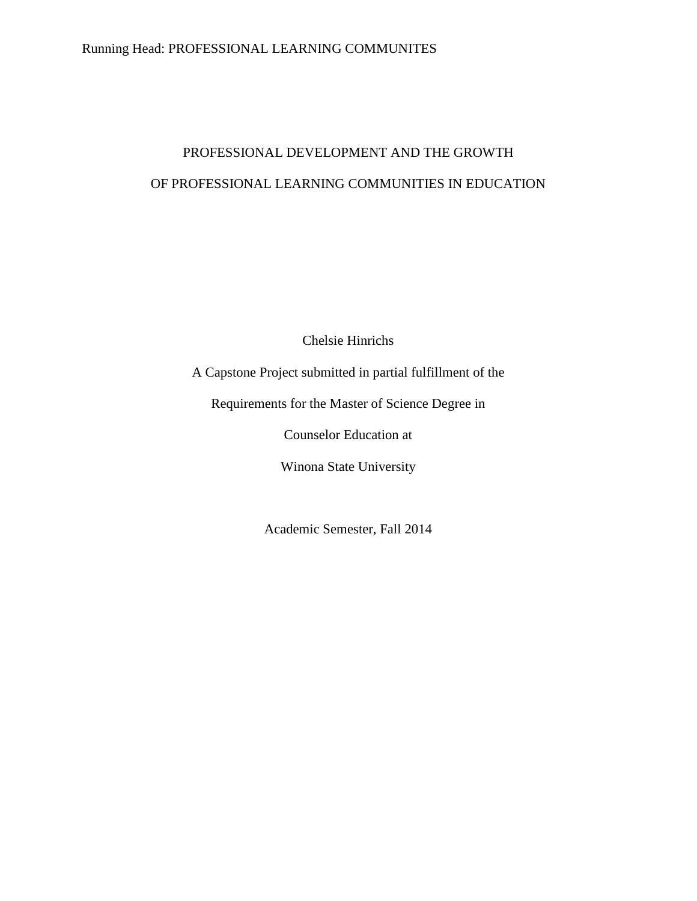## Running Head: PROFESSIONAL LEARNING COMMUNITES

## PROFESSIONAL DEVELOPMENT AND THE GROWTH OF PROFESSIONAL LEARNING COMMUNITIES IN EDUCATION

Chelsie Hinrichs

A Capstone Project submitted in partial fulfillment of the

Requirements for the Master of Science Degree in

Counselor Education at

Winona State University

Academic Semester, Fall 2014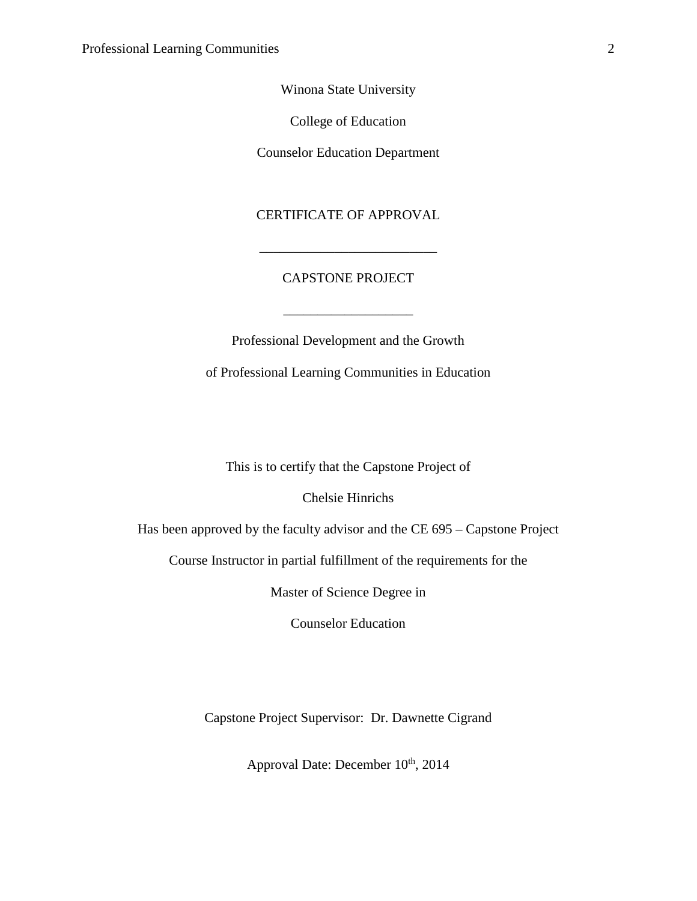Winona State University

College of Education

Counselor Education Department

CERTIFICATE OF APPROVAL

### CAPSTONE PROJECT

\_\_\_\_\_\_\_\_\_\_\_\_\_\_\_\_\_\_\_

\_\_\_\_\_\_\_\_\_\_\_\_\_\_\_\_\_\_\_\_\_\_\_\_\_\_

Professional Development and the Growth of Professional Learning Communities in Education

This is to certify that the Capstone Project of

Chelsie Hinrichs

Has been approved by the faculty advisor and the CE 695 – Capstone Project

Course Instructor in partial fulfillment of the requirements for the

Master of Science Degree in

Counselor Education

Capstone Project Supervisor: Dr. Dawnette Cigrand

Approval Date: December  $10^{th}$ , 2014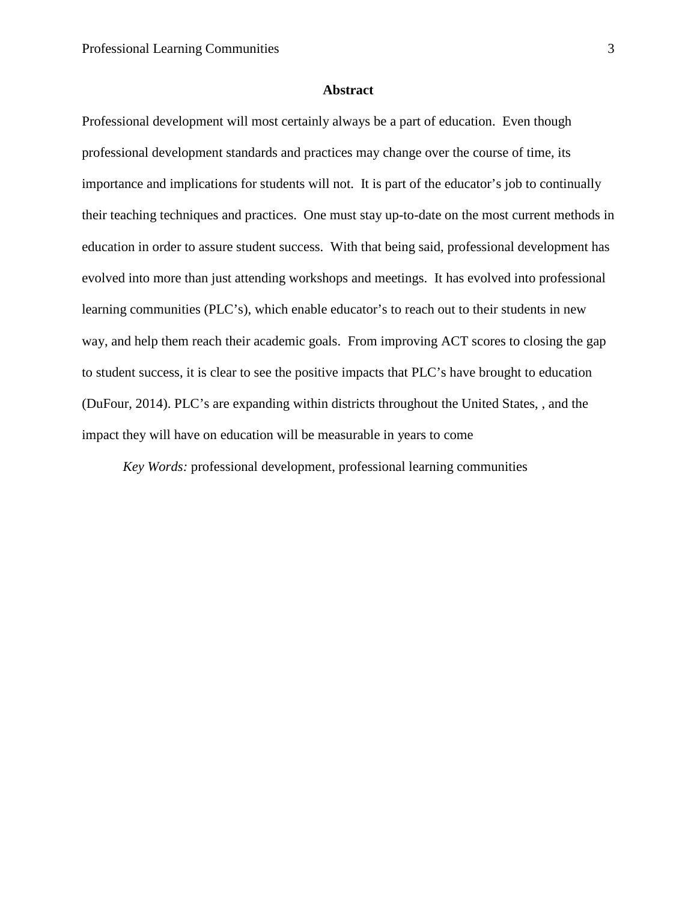#### **Abstract**

Professional development will most certainly always be a part of education. Even though professional development standards and practices may change over the course of time, its importance and implications for students will not. It is part of the educator's job to continually their teaching techniques and practices. One must stay up-to-date on the most current methods in education in order to assure student success. With that being said, professional development has evolved into more than just attending workshops and meetings. It has evolved into professional learning communities (PLC's), which enable educator's to reach out to their students in new way, and help them reach their academic goals. From improving ACT scores to closing the gap to student success, it is clear to see the positive impacts that PLC's have brought to education (DuFour, 2014). PLC's are expanding within districts throughout the United States, , and the impact they will have on education will be measurable in years to come

*Key Words:* professional development, professional learning communities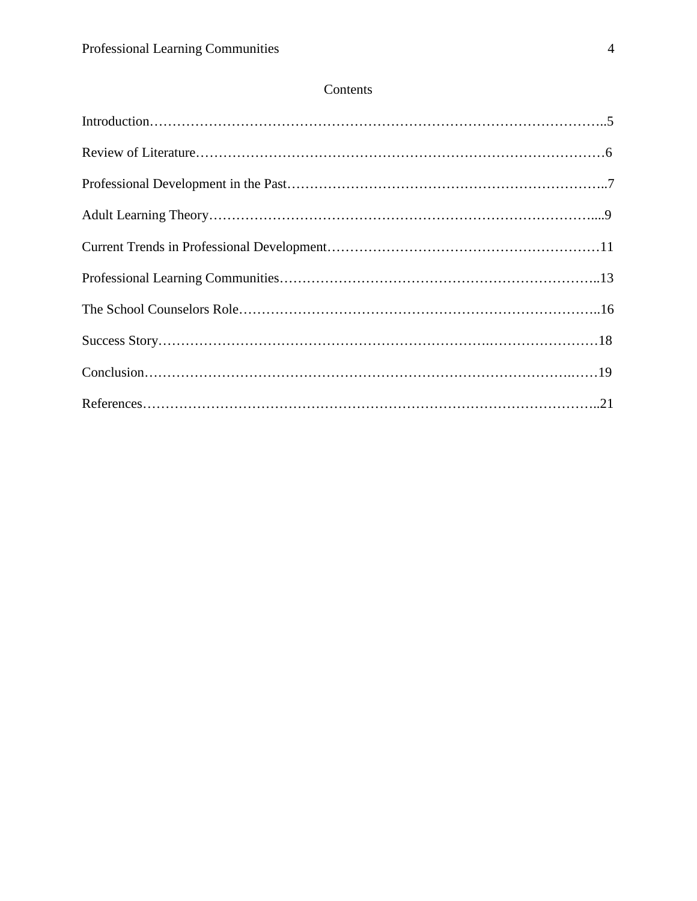## Contents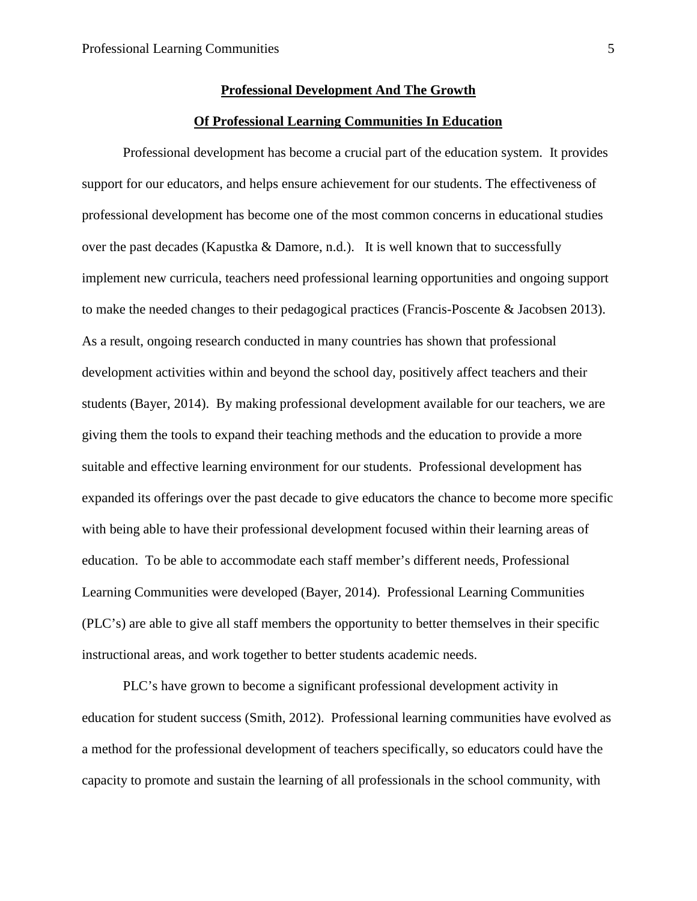#### **Professional Development And The Growth**

#### **Of Professional Learning Communities In Education**

Professional development has become a crucial part of the education system. It provides support for our educators, and helps ensure achievement for our students. The effectiveness of professional development has become one of the most common concerns in educational studies over the past decades (Kapustka & Damore, n.d.). It is well known that to successfully implement new curricula, teachers need professional learning opportunities and ongoing support to make the needed changes to their pedagogical practices (Francis-Poscente & Jacobsen 2013). As a result, ongoing research conducted in many countries has shown that professional development activities within and beyond the school day, positively affect teachers and their students (Bayer, 2014). By making professional development available for our teachers, we are giving them the tools to expand their teaching methods and the education to provide a more suitable and effective learning environment for our students. Professional development has expanded its offerings over the past decade to give educators the chance to become more specific with being able to have their professional development focused within their learning areas of education. To be able to accommodate each staff member's different needs, Professional Learning Communities were developed (Bayer, 2014). Professional Learning Communities (PLC's) are able to give all staff members the opportunity to better themselves in their specific instructional areas, and work together to better students academic needs.

PLC's have grown to become a significant professional development activity in education for student success (Smith, 2012). Professional learning communities have evolved as a method for the professional development of teachers specifically, so educators could have the capacity to promote and sustain the learning of all professionals in the school community, with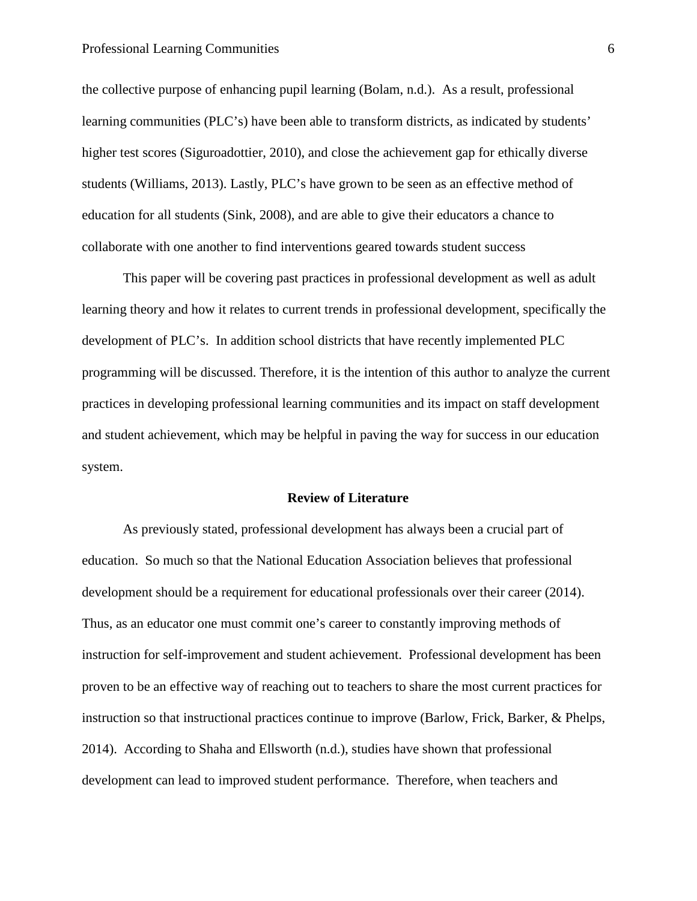the collective purpose of enhancing pupil learning (Bolam, n.d.). As a result, professional learning communities (PLC's) have been able to transform districts, as indicated by students' higher test scores (Siguroadottier, 2010), and close the achievement gap for ethically diverse students (Williams, 2013). Lastly, PLC's have grown to be seen as an effective method of education for all students (Sink, 2008), and are able to give their educators a chance to collaborate with one another to find interventions geared towards student success

This paper will be covering past practices in professional development as well as adult learning theory and how it relates to current trends in professional development, specifically the development of PLC's. In addition school districts that have recently implemented PLC programming will be discussed. Therefore, it is the intention of this author to analyze the current practices in developing professional learning communities and its impact on staff development and student achievement, which may be helpful in paving the way for success in our education system.

#### **Review of Literature**

As previously stated, professional development has always been a crucial part of education. So much so that the National Education Association believes that professional development should be a requirement for educational professionals over their career (2014). Thus, as an educator one must commit one's career to constantly improving methods of instruction for self-improvement and student achievement. Professional development has been proven to be an effective way of reaching out to teachers to share the most current practices for instruction so that instructional practices continue to improve (Barlow, Frick, Barker, & Phelps, 2014). According to Shaha and Ellsworth (n.d.), studies have shown that professional development can lead to improved student performance. Therefore, when teachers and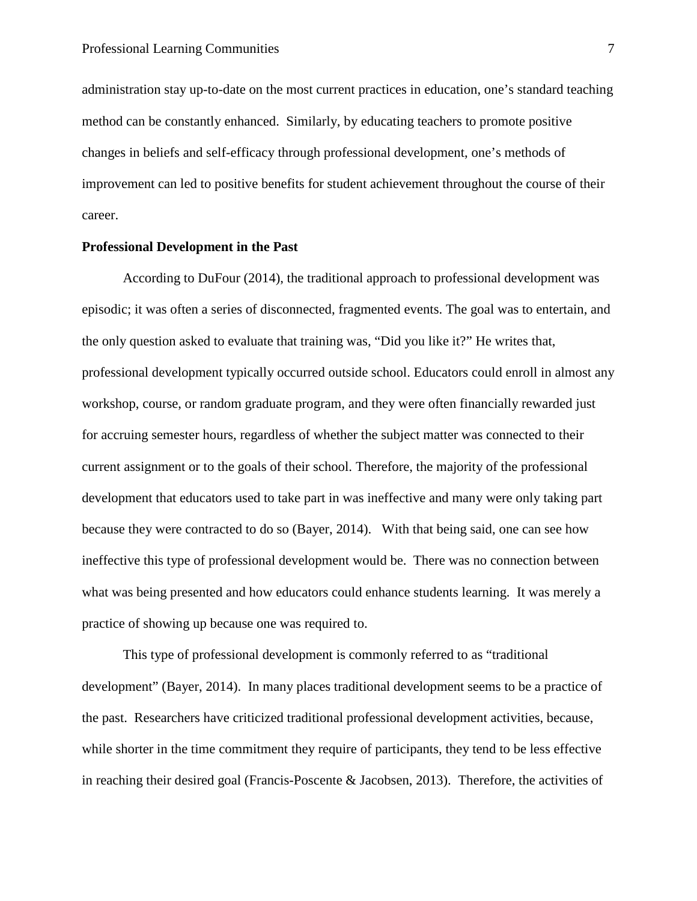administration stay up-to-date on the most current practices in education, one's standard teaching method can be constantly enhanced. Similarly, by educating teachers to promote positive changes in beliefs and self-efficacy through professional development, one's methods of improvement can led to positive benefits for student achievement throughout the course of their career.

#### **Professional Development in the Past**

According to DuFour (2014), the traditional approach to professional development was episodic; it was often a series of disconnected, fragmented events. The goal was to entertain, and the only question asked to evaluate that training was, "Did you like it?" He writes that, professional development typically occurred outside school. Educators could enroll in almost any workshop, course, or random graduate program, and they were often financially rewarded just for accruing semester hours, regardless of whether the subject matter was connected to their current assignment or to the goals of their school. Therefore, the majority of the professional development that educators used to take part in was ineffective and many were only taking part because they were contracted to do so (Bayer, 2014). With that being said, one can see how ineffective this type of professional development would be. There was no connection between what was being presented and how educators could enhance students learning. It was merely a practice of showing up because one was required to.

This type of professional development is commonly referred to as "traditional development" (Bayer, 2014). In many places traditional development seems to be a practice of the past. Researchers have criticized traditional professional development activities, because, while shorter in the time commitment they require of participants, they tend to be less effective in reaching their desired goal (Francis-Poscente & Jacobsen, 2013). Therefore, the activities of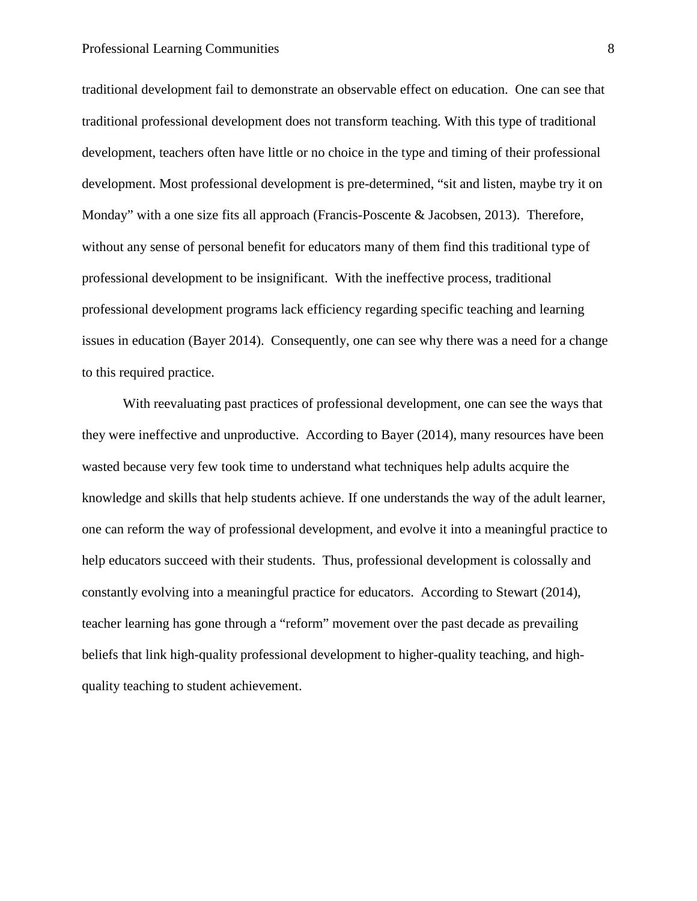#### Professional Learning Communities 8

traditional development fail to demonstrate an observable effect on education. One can see that traditional professional development does not transform teaching. With this type of traditional development, teachers often have little or no choice in the type and timing of their professional development. Most professional development is pre-determined, "sit and listen, maybe try it on Monday" with a one size fits all approach (Francis-Poscente & Jacobsen, 2013). Therefore, without any sense of personal benefit for educators many of them find this traditional type of professional development to be insignificant. With the ineffective process, traditional professional development programs lack efficiency regarding specific teaching and learning issues in education (Bayer 2014). Consequently, one can see why there was a need for a change to this required practice.

With reevaluating past practices of professional development, one can see the ways that they were ineffective and unproductive. According to Bayer (2014), many resources have been wasted because very few took time to understand what techniques help adults acquire the knowledge and skills that help students achieve. If one understands the way of the adult learner, one can reform the way of professional development, and evolve it into a meaningful practice to help educators succeed with their students. Thus, professional development is colossally and constantly evolving into a meaningful practice for educators. According to Stewart (2014), teacher learning has gone through a "reform" movement over the past decade as prevailing beliefs that link high-quality professional development to higher-quality teaching, and highquality teaching to student achievement.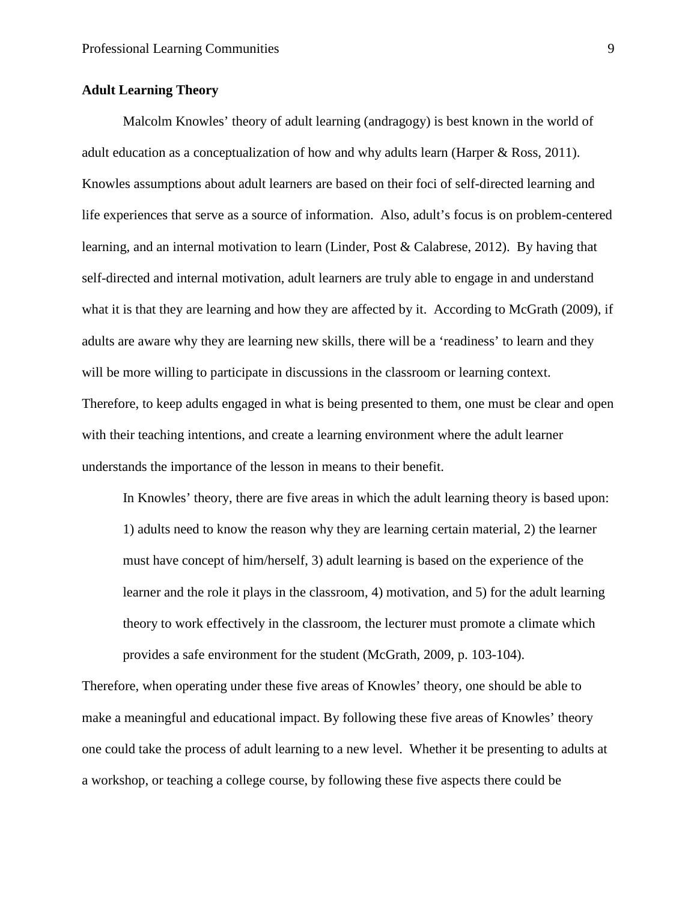#### **Adult Learning Theory**

Malcolm Knowles' theory of adult learning (andragogy) is best known in the world of adult education as a conceptualization of how and why adults learn (Harper & Ross, 2011). Knowles assumptions about adult learners are based on their foci of self-directed learning and life experiences that serve as a source of information. Also, adult's focus is on problem-centered learning, and an internal motivation to learn (Linder, Post & Calabrese, 2012). By having that self-directed and internal motivation, adult learners are truly able to engage in and understand what it is that they are learning and how they are affected by it. According to McGrath (2009), if adults are aware why they are learning new skills, there will be a 'readiness' to learn and they will be more willing to participate in discussions in the classroom or learning context. Therefore, to keep adults engaged in what is being presented to them, one must be clear and open with their teaching intentions, and create a learning environment where the adult learner understands the importance of the lesson in means to their benefit.

In Knowles' theory, there are five areas in which the adult learning theory is based upon: 1) adults need to know the reason why they are learning certain material, 2) the learner must have concept of him/herself, 3) adult learning is based on the experience of the learner and the role it plays in the classroom, 4) motivation, and 5) for the adult learning theory to work effectively in the classroom, the lecturer must promote a climate which provides a safe environment for the student (McGrath, 2009, p. 103-104).

Therefore, when operating under these five areas of Knowles' theory, one should be able to make a meaningful and educational impact. By following these five areas of Knowles' theory one could take the process of adult learning to a new level. Whether it be presenting to adults at a workshop, or teaching a college course, by following these five aspects there could be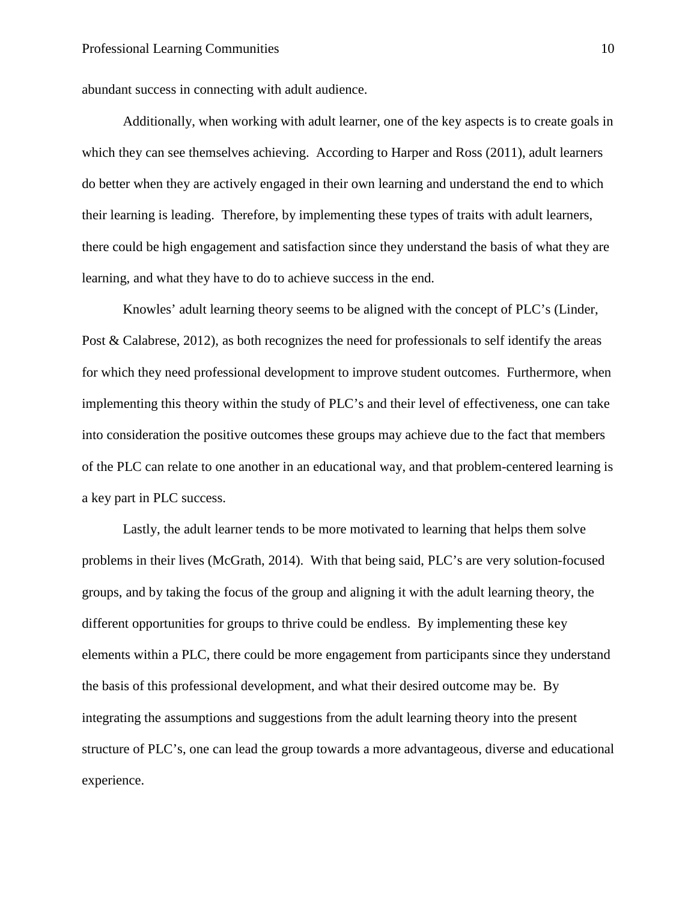abundant success in connecting with adult audience.

Additionally, when working with adult learner, one of the key aspects is to create goals in which they can see themselves achieving. According to Harper and Ross (2011), adult learners do better when they are actively engaged in their own learning and understand the end to which their learning is leading. Therefore, by implementing these types of traits with adult learners, there could be high engagement and satisfaction since they understand the basis of what they are learning, and what they have to do to achieve success in the end.

Knowles' adult learning theory seems to be aligned with the concept of PLC's (Linder, Post & Calabrese, 2012), as both recognizes the need for professionals to self identify the areas for which they need professional development to improve student outcomes. Furthermore, when implementing this theory within the study of PLC's and their level of effectiveness, one can take into consideration the positive outcomes these groups may achieve due to the fact that members of the PLC can relate to one another in an educational way, and that problem-centered learning is a key part in PLC success.

Lastly, the adult learner tends to be more motivated to learning that helps them solve problems in their lives (McGrath, 2014). With that being said, PLC's are very solution-focused groups, and by taking the focus of the group and aligning it with the adult learning theory, the different opportunities for groups to thrive could be endless. By implementing these key elements within a PLC, there could be more engagement from participants since they understand the basis of this professional development, and what their desired outcome may be. By integrating the assumptions and suggestions from the adult learning theory into the present structure of PLC's, one can lead the group towards a more advantageous, diverse and educational experience.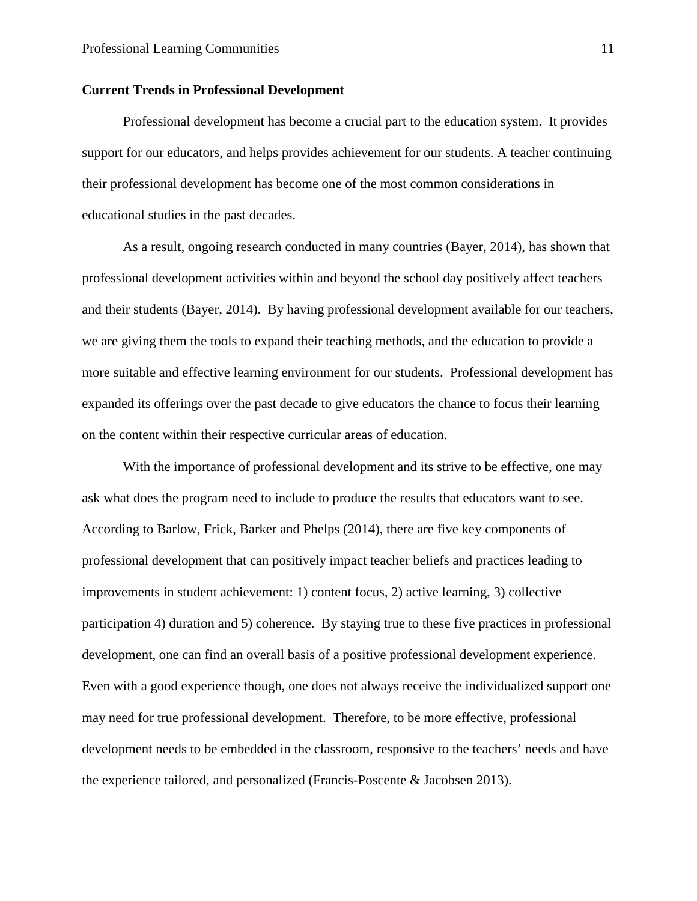#### **Current Trends in Professional Development**

Professional development has become a crucial part to the education system. It provides support for our educators, and helps provides achievement for our students. A teacher continuing their professional development has become one of the most common considerations in educational studies in the past decades.

As a result, ongoing research conducted in many countries (Bayer, 2014), has shown that professional development activities within and beyond the school day positively affect teachers and their students (Bayer, 2014). By having professional development available for our teachers, we are giving them the tools to expand their teaching methods, and the education to provide a more suitable and effective learning environment for our students. Professional development has expanded its offerings over the past decade to give educators the chance to focus their learning on the content within their respective curricular areas of education.

With the importance of professional development and its strive to be effective, one may ask what does the program need to include to produce the results that educators want to see. According to Barlow, Frick, Barker and Phelps (2014), there are five key components of professional development that can positively impact teacher beliefs and practices leading to improvements in student achievement: 1) content focus, 2) active learning, 3) collective participation 4) duration and 5) coherence. By staying true to these five practices in professional development, one can find an overall basis of a positive professional development experience. Even with a good experience though, one does not always receive the individualized support one may need for true professional development. Therefore, to be more effective, professional development needs to be embedded in the classroom, responsive to the teachers' needs and have the experience tailored, and personalized (Francis-Poscente & Jacobsen 2013).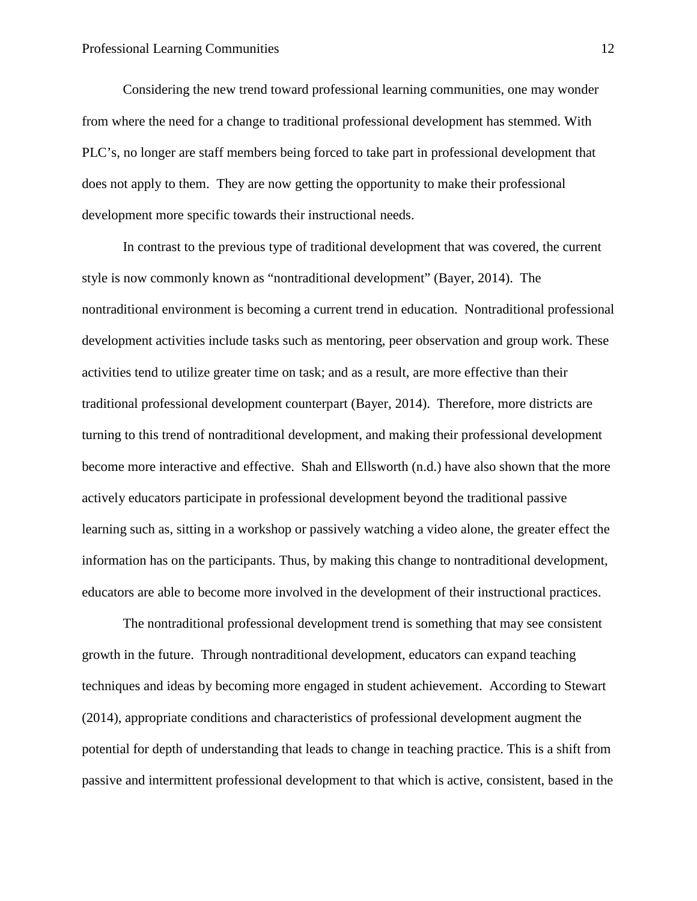Considering the new trend toward professional learning communities, one may wonder from where the need for a change to traditional professional development has stemmed. With PLC's, no longer are staff members being forced to take part in professional development that does not apply to them. They are now getting the opportunity to make their professional development more specific towards their instructional needs.

In contrast to the previous type of traditional development that was covered, the current style is now commonly known as "nontraditional development" (Bayer, 2014). The nontraditional environment is becoming a current trend in education. Nontraditional professional development activities include tasks such as mentoring, peer observation and group work. These activities tend to utilize greater time on task; and as a result, are more effective than their traditional professional development counterpart (Bayer, 2014). Therefore, more districts are turning to this trend of nontraditional development, and making their professional development become more interactive and effective. Shah and Ellsworth (n.d.) have also shown that the more actively educators participate in professional development beyond the traditional passive learning such as, sitting in a workshop or passively watching a video alone, the greater effect the information has on the participants. Thus, by making this change to nontraditional development, educators are able to become more involved in the development of their instructional practices.

The nontraditional professional development trend is something that may see consistent growth in the future. Through nontraditional development, educators can expand teaching techniques and ideas by becoming more engaged in student achievement. According to Stewart (2014), appropriate conditions and characteristics of professional development augment the potential for depth of understanding that leads to change in teaching practice. This is a shift from passive and intermittent professional development to that which is active, consistent, based in the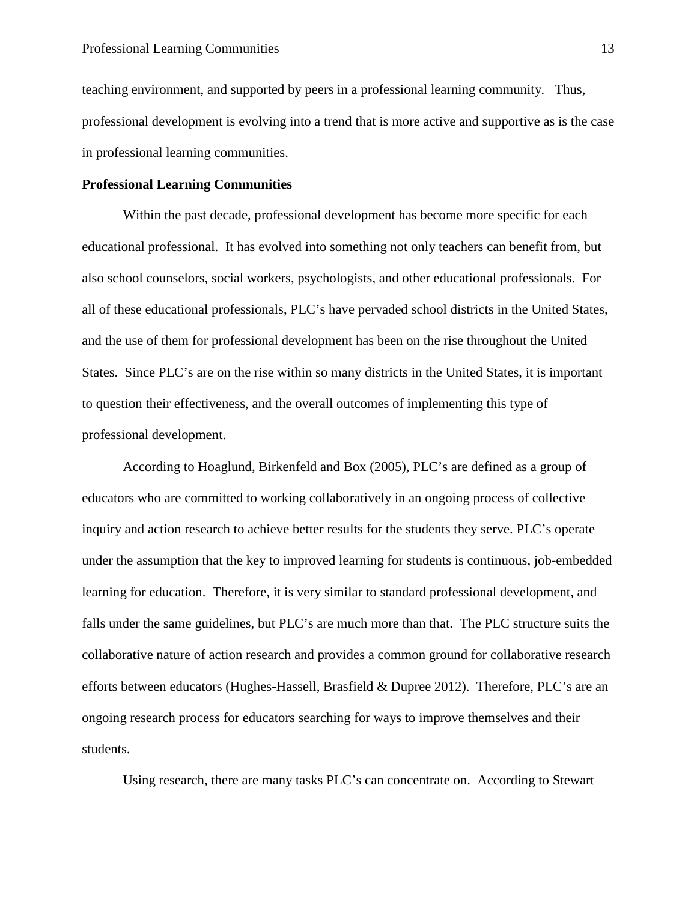teaching environment, and supported by peers in a professional learning community. Thus, professional development is evolving into a trend that is more active and supportive as is the case in professional learning communities.

#### **Professional Learning Communities**

Within the past decade, professional development has become more specific for each educational professional. It has evolved into something not only teachers can benefit from, but also school counselors, social workers, psychologists, and other educational professionals. For all of these educational professionals, PLC's have pervaded school districts in the United States, and the use of them for professional development has been on the rise throughout the United States. Since PLC's are on the rise within so many districts in the United States, it is important to question their effectiveness, and the overall outcomes of implementing this type of professional development.

According to Hoaglund, Birkenfeld and Box (2005), PLC's are defined as a group of educators who are committed to working collaboratively in an ongoing process of collective inquiry and action research to achieve better results for the students they serve. PLC's operate under the assumption that the key to improved learning for students is continuous, job-embedded learning for education. Therefore, it is very similar to standard professional development, and falls under the same guidelines, but PLC's are much more than that. The PLC structure suits the collaborative nature of action research and provides a common ground for collaborative research efforts between educators (Hughes-Hassell, Brasfield & Dupree 2012). Therefore, PLC's are an ongoing research process for educators searching for ways to improve themselves and their students.

Using research, there are many tasks PLC's can concentrate on. According to Stewart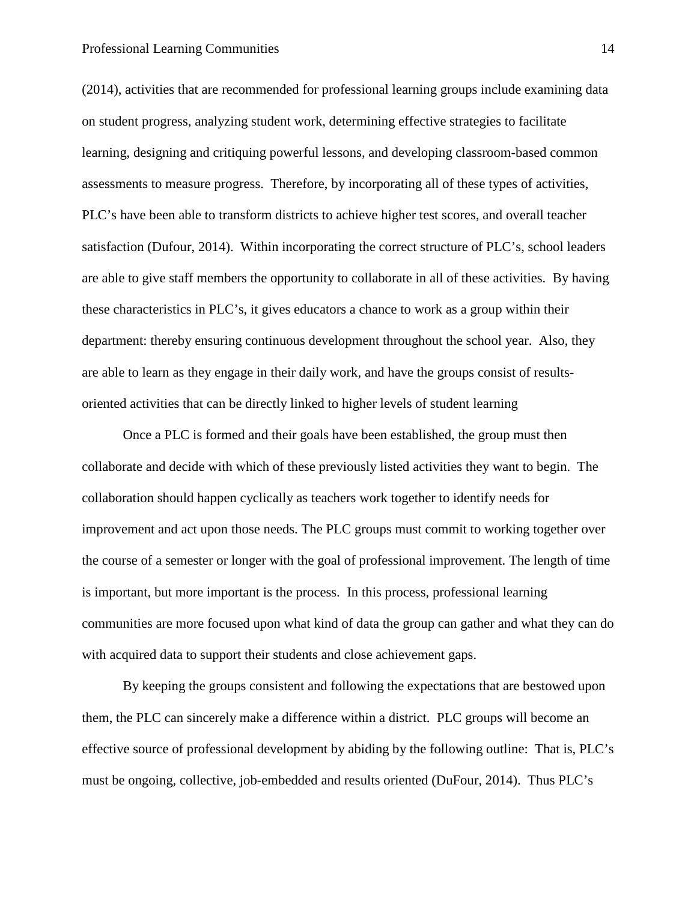(2014), activities that are recommended for professional learning groups include examining data on student progress, analyzing student work, determining effective strategies to facilitate learning, designing and critiquing powerful lessons, and developing classroom-based common assessments to measure progress. Therefore, by incorporating all of these types of activities, PLC's have been able to transform districts to achieve higher test scores, and overall teacher satisfaction (Dufour, 2014). Within incorporating the correct structure of PLC's, school leaders are able to give staff members the opportunity to collaborate in all of these activities. By having these characteristics in PLC's, it gives educators a chance to work as a group within their department: thereby ensuring continuous development throughout the school year. Also, they are able to learn as they engage in their daily work, and have the groups consist of resultsoriented activities that can be directly linked to higher levels of student learning

Once a PLC is formed and their goals have been established, the group must then collaborate and decide with which of these previously listed activities they want to begin. The collaboration should happen cyclically as teachers work together to identify needs for improvement and act upon those needs. The PLC groups must commit to working together over the course of a semester or longer with the goal of professional improvement. The length of time is important, but more important is the process. In this process, professional learning communities are more focused upon what kind of data the group can gather and what they can do with acquired data to support their students and close achievement gaps.

By keeping the groups consistent and following the expectations that are bestowed upon them, the PLC can sincerely make a difference within a district. PLC groups will become an effective source of professional development by abiding by the following outline: That is, PLC's must be ongoing, collective, job-embedded and results oriented (DuFour, 2014). Thus PLC's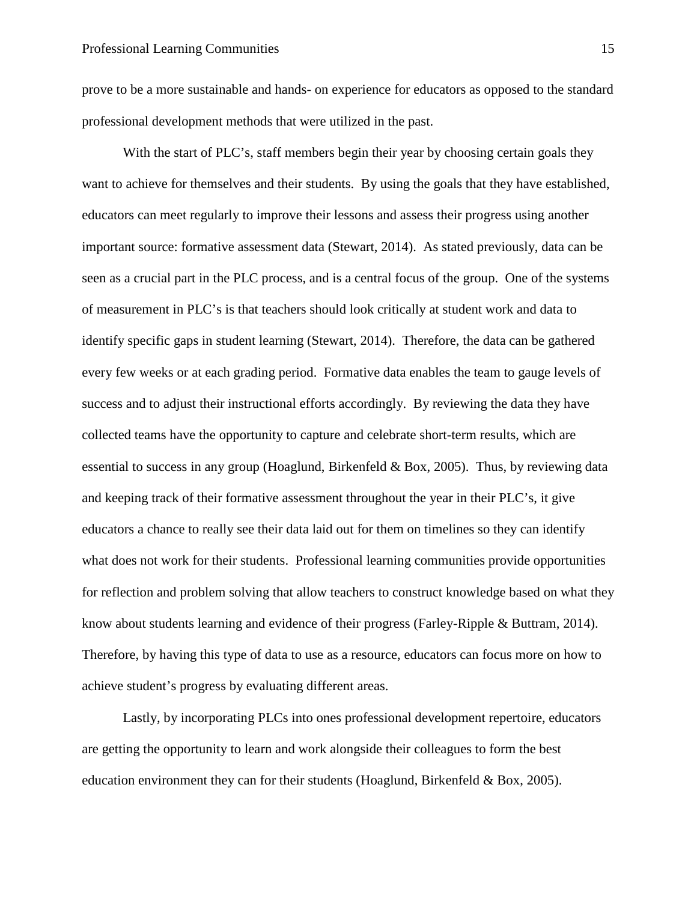prove to be a more sustainable and hands- on experience for educators as opposed to the standard professional development methods that were utilized in the past.

With the start of PLC's, staff members begin their year by choosing certain goals they want to achieve for themselves and their students. By using the goals that they have established, educators can meet regularly to improve their lessons and assess their progress using another important source: formative assessment data (Stewart, 2014). As stated previously, data can be seen as a crucial part in the PLC process, and is a central focus of the group. One of the systems of measurement in PLC's is that teachers should look critically at student work and data to identify specific gaps in student learning (Stewart, 2014). Therefore, the data can be gathered every few weeks or at each grading period. Formative data enables the team to gauge levels of success and to adjust their instructional efforts accordingly. By reviewing the data they have collected teams have the opportunity to capture and celebrate short-term results, which are essential to success in any group (Hoaglund, Birkenfeld & Box, 2005). Thus, by reviewing data and keeping track of their formative assessment throughout the year in their PLC's, it give educators a chance to really see their data laid out for them on timelines so they can identify what does not work for their students. Professional learning communities provide opportunities for reflection and problem solving that allow teachers to construct knowledge based on what they know about students learning and evidence of their progress (Farley-Ripple & Buttram, 2014). Therefore, by having this type of data to use as a resource, educators can focus more on how to achieve student's progress by evaluating different areas.

Lastly, by incorporating PLCs into ones professional development repertoire, educators are getting the opportunity to learn and work alongside their colleagues to form the best education environment they can for their students (Hoaglund, Birkenfeld  $\&$  Box, 2005).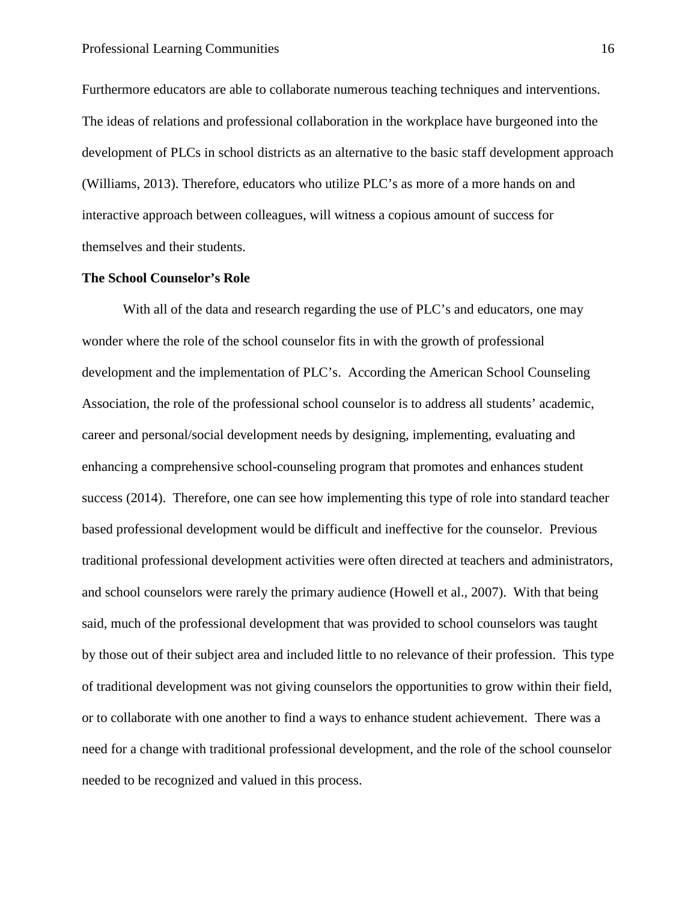Furthermore educators are able to collaborate numerous teaching techniques and interventions. The ideas of relations and professional collaboration in the workplace have burgeoned into the development of PLCs in school districts as an alternative to the basic staff development approach (Williams, 2013). Therefore, educators who utilize PLC's as more of a more hands on and interactive approach between colleagues, will witness a copious amount of success for themselves and their students.

#### **The School Counselor's Role**

With all of the data and research regarding the use of PLC's and educators, one may wonder where the role of the school counselor fits in with the growth of professional development and the implementation of PLC's. According the American School Counseling Association, the role of the professional school counselor is to address all students' academic, career and personal/social development needs by designing, implementing, evaluating and enhancing a comprehensive school-counseling program that promotes and enhances student success (2014). Therefore, one can see how implementing this type of role into standard teacher based professional development would be difficult and ineffective for the counselor. Previous traditional professional development activities were often directed at teachers and administrators, and school counselors were rarely the primary audience (Howell et al., 2007). With that being said, much of the professional development that was provided to school counselors was taught by those out of their subject area and included little to no relevance of their profession. This type of traditional development was not giving counselors the opportunities to grow within their field, or to collaborate with one another to find a ways to enhance student achievement. There was a need for a change with traditional professional development, and the role of the school counselor needed to be recognized and valued in this process.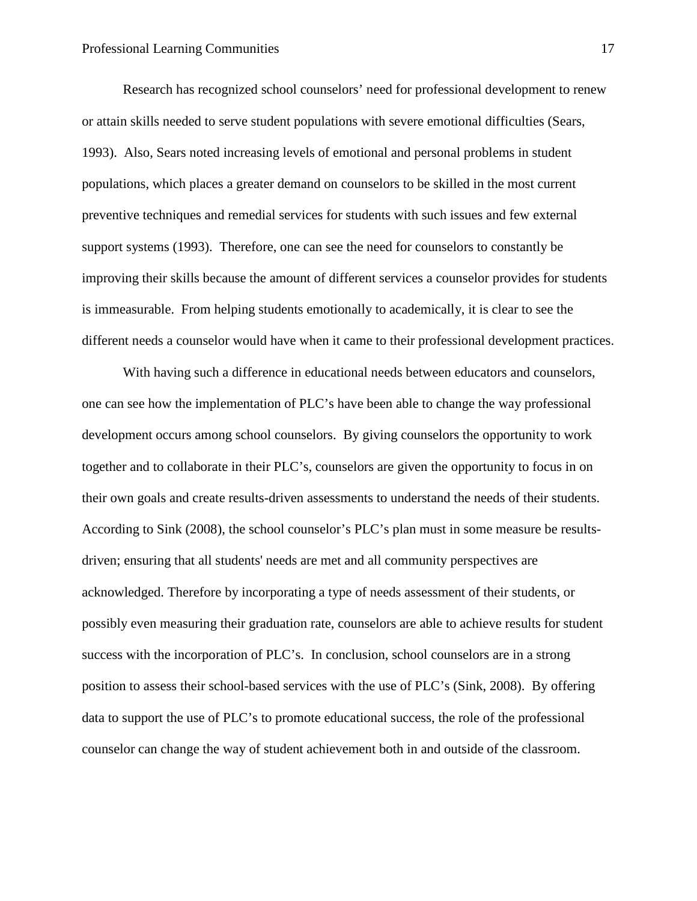Research has recognized school counselors' need for professional development to renew or attain skills needed to serve student populations with severe emotional difficulties (Sears, 1993). Also, Sears noted increasing levels of emotional and personal problems in student populations, which places a greater demand on counselors to be skilled in the most current preventive techniques and remedial services for students with such issues and few external support systems (1993). Therefore, one can see the need for counselors to constantly be improving their skills because the amount of different services a counselor provides for students is immeasurable. From helping students emotionally to academically, it is clear to see the different needs a counselor would have when it came to their professional development practices.

With having such a difference in educational needs between educators and counselors, one can see how the implementation of PLC's have been able to change the way professional development occurs among school counselors. By giving counselors the opportunity to work together and to collaborate in their PLC's, counselors are given the opportunity to focus in on their own goals and create results-driven assessments to understand the needs of their students. According to Sink (2008), the school counselor's PLC's plan must in some measure be resultsdriven; ensuring that all students' needs are met and all community perspectives are acknowledged. Therefore by incorporating a type of needs assessment of their students, or possibly even measuring their graduation rate, counselors are able to achieve results for student success with the incorporation of PLC's. In conclusion, school counselors are in a strong position to assess their school-based services with the use of PLC's (Sink, 2008). By offering data to support the use of PLC's to promote educational success, the role of the professional counselor can change the way of student achievement both in and outside of the classroom.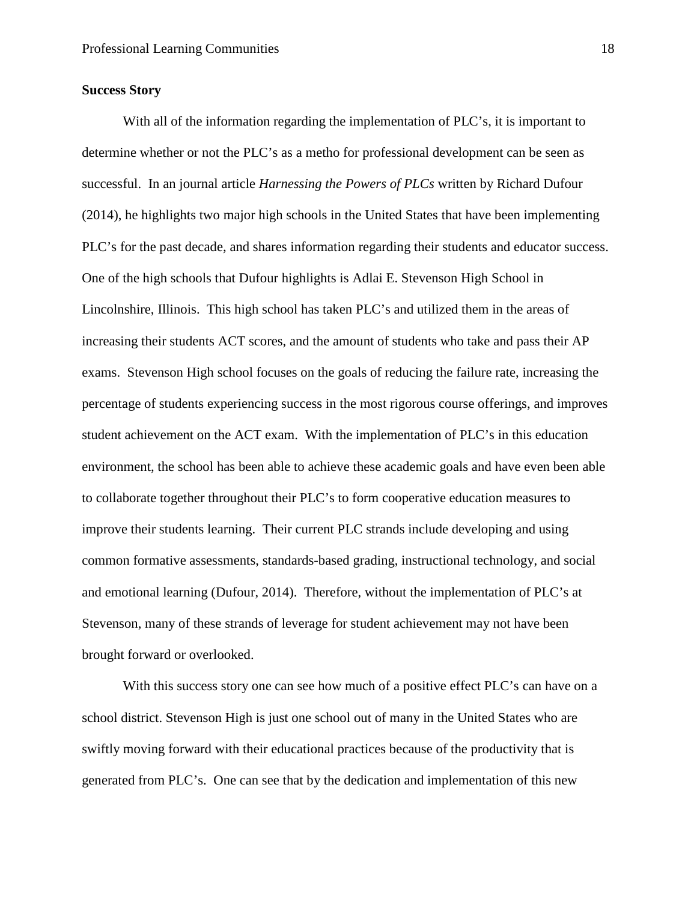#### **Success Story**

With all of the information regarding the implementation of PLC's, it is important to determine whether or not the PLC's as a metho for professional development can be seen as successful. In an journal article *Harnessing the Powers of PLCs* written by Richard Dufour (2014), he highlights two major high schools in the United States that have been implementing PLC's for the past decade, and shares information regarding their students and educator success. One of the high schools that Dufour highlights is Adlai E. Stevenson High School in Lincolnshire, Illinois. This high school has taken PLC's and utilized them in the areas of increasing their students ACT scores, and the amount of students who take and pass their AP exams. Stevenson High school focuses on the goals of reducing the failure rate, increasing the percentage of students experiencing success in the most rigorous course offerings, and improves student achievement on the ACT exam. With the implementation of PLC's in this education environment, the school has been able to achieve these academic goals and have even been able to collaborate together throughout their PLC's to form cooperative education measures to improve their students learning. Their current PLC strands include developing and using common formative assessments, standards-based grading, instructional technology, and social and emotional learning (Dufour, 2014). Therefore, without the implementation of PLC's at Stevenson, many of these strands of leverage for student achievement may not have been brought forward or overlooked.

With this success story one can see how much of a positive effect PLC's can have on a school district. Stevenson High is just one school out of many in the United States who are swiftly moving forward with their educational practices because of the productivity that is generated from PLC's. One can see that by the dedication and implementation of this new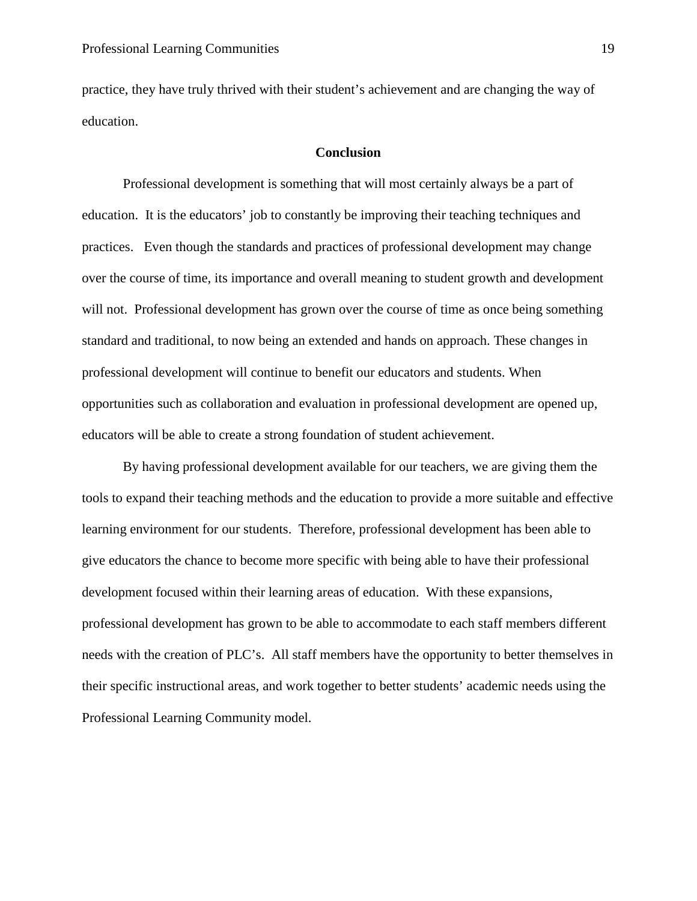practice, they have truly thrived with their student's achievement and are changing the way of education.

#### **Conclusion**

Professional development is something that will most certainly always be a part of education. It is the educators' job to constantly be improving their teaching techniques and practices. Even though the standards and practices of professional development may change over the course of time, its importance and overall meaning to student growth and development will not. Professional development has grown over the course of time as once being something standard and traditional, to now being an extended and hands on approach. These changes in professional development will continue to benefit our educators and students. When opportunities such as collaboration and evaluation in professional development are opened up, educators will be able to create a strong foundation of student achievement.

By having professional development available for our teachers, we are giving them the tools to expand their teaching methods and the education to provide a more suitable and effective learning environment for our students. Therefore, professional development has been able to give educators the chance to become more specific with being able to have their professional development focused within their learning areas of education. With these expansions, professional development has grown to be able to accommodate to each staff members different needs with the creation of PLC's. All staff members have the opportunity to better themselves in their specific instructional areas, and work together to better students' academic needs using the Professional Learning Community model.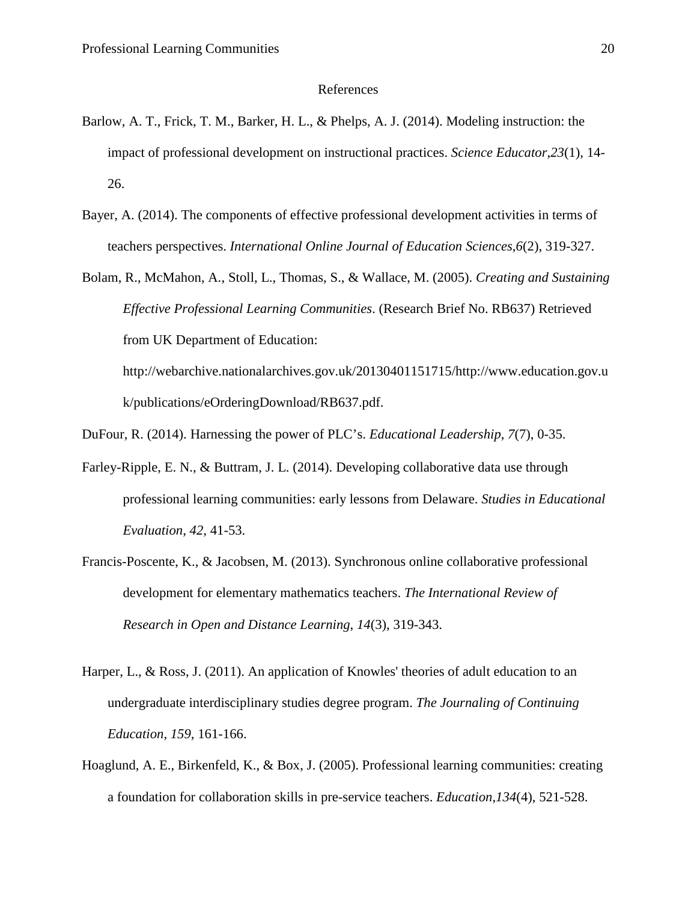#### References

- Barlow, A. T., Frick, T. M., Barker, H. L., & Phelps, A. J. (2014). Modeling instruction: the impact of professional development on instructional practices. *Science Educator*,*23*(1), 14- 26.
- Bayer, A. (2014). The components of effective professional development activities in terms of teachers perspectives. *International Online Journal of Education Sciences*,*6*(2), 319-327.

Bolam, R., McMahon, A., Stoll, L., Thomas, S., & Wallace, M. (2005). *Creating and Sustaining Effective Professional Learning Communities*. (Research Brief No. RB637) Retrieved from UK Department of Education: http://webarchive.nationalarchives.gov.uk/20130401151715/http://www.education.gov.u

DuFour, R. (2014). Harnessing the power of PLC's. *Educational Leadership*, *7*(7), 0-35.

k/publications/eOrderingDownload/RB637.pdf.

- Farley-Ripple, E. N., & Buttram, J. L. (2014). Developing collaborative data use through professional learning communities: early lessons from Delaware. *Studies in Educational Evaluation*, *42*, 41-53.
- Francis-Poscente, K., & Jacobsen, M. (2013). Synchronous online collaborative professional development for elementary mathematics teachers. *The International Review of Research in Open and Distance Learning*, *14*(3), 319-343.
- Harper, L., & Ross, J. (2011). An application of Knowles' theories of adult education to an undergraduate interdisciplinary studies degree program. *The Journaling of Continuing Education*, *159*, 161-166.
- Hoaglund, A. E., Birkenfeld, K., & Box, J. (2005). Professional learning communities: creating a foundation for collaboration skills in pre-service teachers. *Education*,*134*(4), 521-528.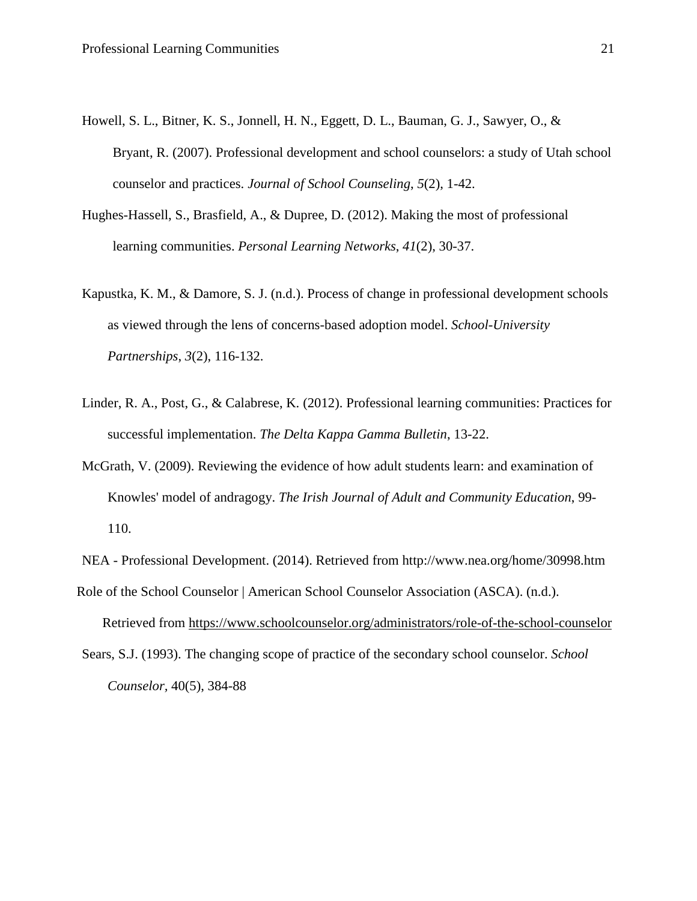- Howell, S. L., Bitner, K. S., Jonnell, H. N., Eggett, D. L., Bauman, G. J., Sawyer, O., & Bryant, R. (2007). Professional development and school counselors: a study of Utah school counselor and practices. *Journal of School Counseling*, *5*(2), 1-42.
- Hughes-Hassell, S., Brasfield, A., & Dupree, D. (2012). Making the most of professional learning communities. *Personal Learning Networks*, *41*(2), 30-37.
- Kapustka, K. M., & Damore, S. J. (n.d.). Process of change in professional development schools as viewed through the lens of concerns-based adoption model. *School-University Partnerships*, *3*(2), 116-132.
- Linder, R. A., Post, G., & Calabrese, K. (2012). Professional learning communities: Practices for successful implementation. *The Delta Kappa Gamma Bulletin*, 13-22.
- McGrath, V. (2009). Reviewing the evidence of how adult students learn: and examination of Knowles' model of andragogy. *The Irish Journal of Adult and Community Education*, 99- 110.

NEA - Professional Development. (2014). Retrieved from http://www.nea.org/home/30998.htm

Role of the School Counselor | American School Counselor Association (ASCA). (n.d.).

Retrieved from<https://www.schoolcounselor.org/administrators/role-of-the-school-counselor>

Sears, S.J. (1993). The changing scope of practice of the secondary school counselor. *School Counselor,* 40(5), 384-88